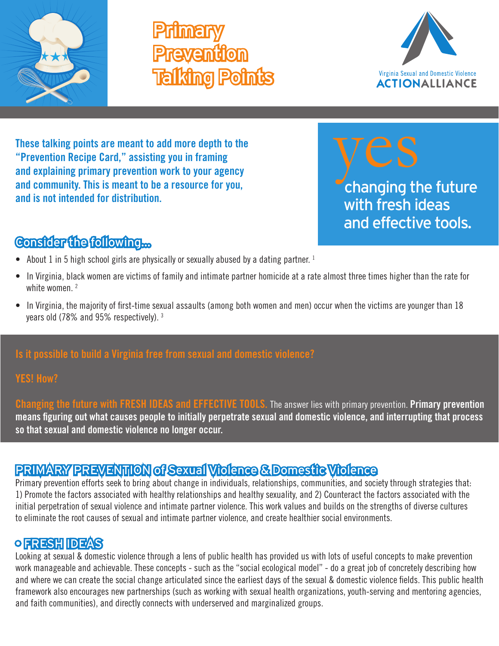

# **Primary Prevention** Talking Points



**These talking points are meant to add more depth to the "Prevention Recipe Card," assisting you in framing and explaining primary prevention work to your agency and community. This is meant to be a resource for you, and is not intended for distribution.**



# Consider the following...

- About 1 in 5 high school girls are physically or sexually abused by a dating partner.  $1$
- In Virginia, black women are victims of family and intimate partner homicide at a rate almost three times higher than the rate for white women<sup>2</sup>
- In Virginia, the majority of first-time sexual assaults (among both women and men) occur when the victims are younger than 18 years old (78% and 95% respectively). 3

### **Is it possible to build a Virginia free from sexual and domestic violence?**

#### **YES! How?**

**Changing the future with FRESH IDEAS and EFFECTIVE TOOLS.** The answer lies with primary prevention. **Primary prevention means figuring out what causes people to initially perpetrate sexual and domestic violence, and interrupting that process so that sexual and domestic violence no longer occur.**

# PRIMARY PREVENTION of Sexual Violence & Domestic Violence

Primary prevention efforts seek to bring about change in individuals, relationships, communities, and society through strategies that: 1) Promote the factors associated with healthy relationships and healthy sexuality, and 2) Counteract the factors associated with the initial perpetration of sexual violence and intimate partner violence. This work values and builds on the strengths of diverse cultures to eliminate the root causes of sexual and intimate partner violence, and create healthier social environments.

# • FRESH IDEAS

Looking at sexual & domestic violence through a lens of public health has provided us with lots of useful concepts to make prevention work manageable and achievable. These concepts - such as the "social ecological model" - do a great job of concretely describing how and where we can create the social change articulated since the earliest days of the sexual & domestic violence fields. This public health framework also encourages new partnerships (such as working with sexual health organizations, youth-serving and mentoring agencies, and faith communities), and directly connects with underserved and marginalized groups.